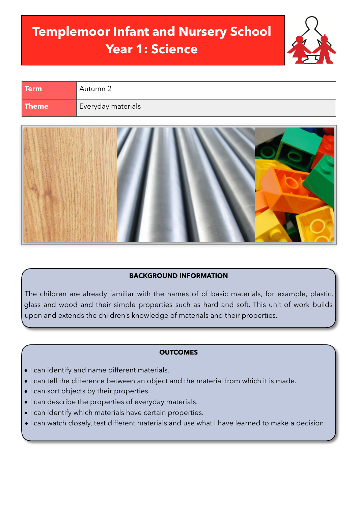# **Templemoor Infant and Nursery School Year 1: Science**



| <b>Term</b>  | Autumn 2           |
|--------------|--------------------|
| <b>Theme</b> | Everyday materials |



## **BACKGROUND INFORMATION**

The children are already familiar with the names of of basic materials, for example, plastic, glass and wood and their simple properties such as hard and soft. This unit of work builds upon and extends the children's knowledge of materials and their properties.

#### **OUTCOMES**

- I can identify and name different materials.
- I can tell the difference between an object and the material from which it is made.
- I can sort objects by their properties.
- I can describe the properties of everyday materials.
- I can identify which materials have certain properties.
- I can watch closely, test different materials and use what I have learned to make a decision.